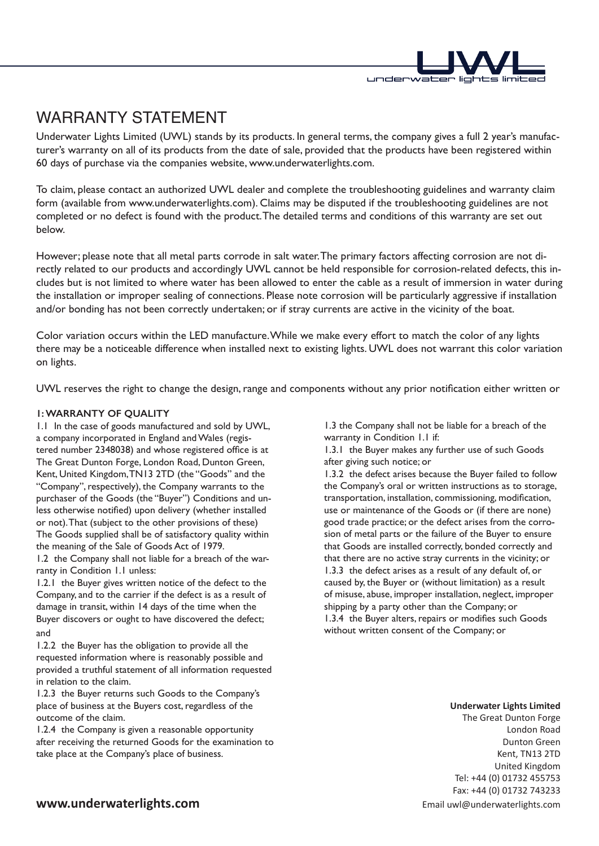

# WARRANTY STATEMENT

Underwater Lights Limited (UWL) stands by its products. In general terms, the company gives a full 2 year's manufacturer's warranty on all of its products from the date of sale, provided that the products have been registered within 60 days of purchase via the companies website, www.underwaterlights.com.

To claim, please contact an authorized UWL dealer and complete the troubleshooting guidelines and warranty claim form (available from www.underwaterlights.com). Claims may be disputed if the troubleshooting guidelines are not completed or no defect is found with the product. The detailed terms and conditions of this warranty are set out below.

However; please note that all metal parts corrode in salt water. The primary factors affecting corrosion are not directly related to our products and accordingly UWL cannot be held responsible for corrosion-related defects, this includes but is not limited to where water has been allowed to enter the cable as a result of immersion in water during the installation or improper sealing of connections. Please note corrosion will be particularly aggressive if installation and/or bonding has not been correctly undertaken; or if stray currents are active in the vicinity of the boat.

Color variation occurs within the LED manufacture. While we make every effort to match the color of any lights there may be a noticeable difference when installed next to existing lights. UWL does not warrant this color variation on lights.

UWL reserves the right to change the design, range and components without any prior notification either written or

## **1: WARRANTY OF QUALITY**

1.1 In the case of goods manufactured and sold by UWL, a company incorporated in England and Wales (registered number 2348038) and whose registered office is at The Great Dunton Forge, London Road, Dunton Green, Kent, United Kingdom, TN13 2TD (the "Goods" and the "Company", respectively), the Company warrants to the purchaser of the Goods (the "Buyer") Conditions and unless otherwise notified) upon delivery (whether installed or not). That (subject to the other provisions of these) The Goods supplied shall be of satisfactory quality within the meaning of the Sale of Goods Act of 1979.

1.2 the Company shall not liable for a breach of the warranty in Condition 1.1 unless:

1.2.1 the Buyer gives written notice of the defect to the Company, and to the carrier if the defect is as a result of damage in transit, within 14 days of the time when the Buyer discovers or ought to have discovered the defect; and

1.2.2 the Buyer has the obligation to provide all the requested information where is reasonably possible and provided a truthful statement of all information requested in relation to the claim.

1.2.3 the Buyer returns such Goods to the Company's place of business at the Buyers cost, regardless of the outcome of the claim.

1.2.4 the Company is given a reasonable opportunity after receiving the returned Goods for the examination to take place at the Company's place of business.

1.3 the Company shall not be liable for a breach of the warranty in Condition 1.1 if:

1.3.1 the Buyer makes any further use of such Goods after giving such notice; or

1.3.2 the defect arises because the Buyer failed to follow the Company's oral or written instructions as to storage, transportation, installation, commissioning, modification, use or maintenance of the Goods or (if there are none) good trade practice; or the defect arises from the corrosion of metal parts or the failure of the Buyer to ensure that Goods are installed correctly, bonded correctly and that there are no active stray currents in the vicinity; or 1.3.3 the defect arises as a result of any default of, or caused by, the Buyer or (without limitation) as a result of misuse, abuse, improper installation, neglect, improper shipping by a party other than the Company; or 1.3.4 the Buyer alters, repairs or modifies such Goods without written consent of the Company; or

#### **Underwater Lights Limited**

Tel: +44 (0) 01732 455753 Fax: +44 (0) 01732 743233 Email uwl@underwaterlights.com The Great Dunton Forge London Road Dunton Green Kent, TN13 2TD United Kingdom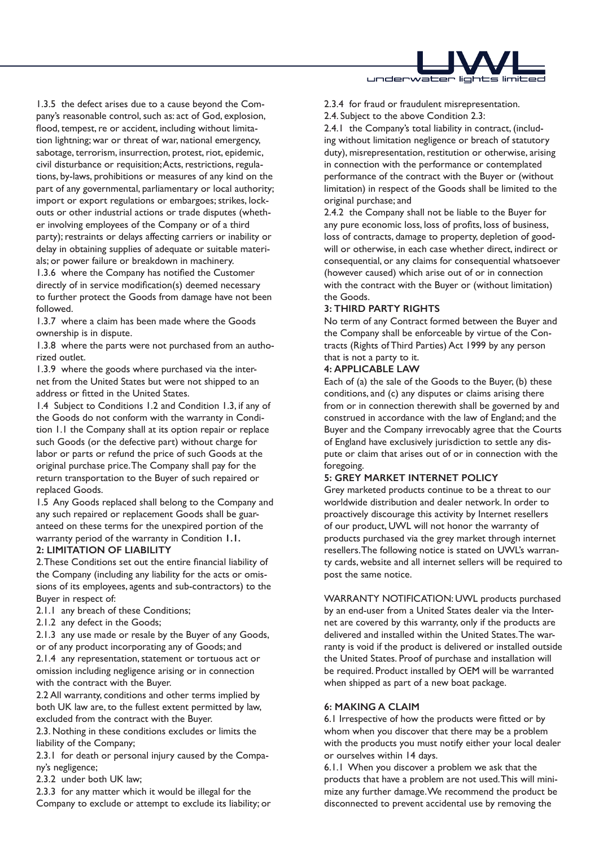

1.3.5 the defect arises due to a cause beyond the Company's reasonable control, such as: act of God, explosion, flood, tempest, re or accident, including without limitation lightning; war or threat of war, national emergency, sabotage, terrorism, insurrection, protest, riot, epidemic, civil disturbance or requisition; Acts, restrictions, regulations, by-laws, prohibitions or measures of any kind on the part of any governmental, parliamentary or local authority; import or export regulations or embargoes; strikes, lockouts or other industrial actions or trade disputes (whether involving employees of the Company or of a third party); restraints or delays affecting carriers or inability or delay in obtaining supplies of adequate or suitable materials; or power failure or breakdown in machinery.

1.3.6 where the Company has notified the Customer directly of in service modification(s) deemed necessary to further protect the Goods from damage have not been followed.

1.3.7 where a claim has been made where the Goods ownership is in dispute.

1.3.8 where the parts were not purchased from an authorized outlet.

1.3.9 where the goods where purchased via the internet from the United States but were not shipped to an address or fitted in the United States.

1.4 Subject to Conditions 1.2 and Condition 1.3, if any of the Goods do not conform with the warranty in Condition 1.1 the Company shall at its option repair or replace such Goods (or the defective part) without charge for labor or parts or refund the price of such Goods at the original purchase price. The Company shall pay for the return transportation to the Buyer of such repaired or replaced Goods.

1.5 Any Goods replaced shall belong to the Company and any such repaired or replacement Goods shall be guaranteed on these terms for the unexpired portion of the warranty period of the warranty in Condition **1.1.** 

#### **2: LIMITATION OF LIABILITY**

2. These Conditions set out the entire financial liability of the Company (including any liability for the acts or omissions of its employees, agents and sub-contractors) to the Buyer in respect of:

2.1.1 any breach of these Conditions;

2.1.2 any defect in the Goods;

2.1.3 any use made or resale by the Buyer of any Goods, or of any product incorporating any of Goods; and

2.1.4 any representation, statement or tortuous act or omission including negligence arising or in connection with the contract with the Buyer.

2.2 All warranty, conditions and other terms implied by both UK law are, to the fullest extent permitted by law, excluded from the contract with the Buyer.

2.3. Nothing in these conditions excludes or limits the liability of the Company;

2.3.1 for death or personal injury caused by the Company's negligence;

2.3.2 under both UK law;

2.3.3 for any matter which it would be illegal for the Company to exclude or attempt to exclude its liability; or 2.3.4 for fraud or fraudulent misrepresentation.

2.4. Subject to the above Condition 2.3:

2.4.1 the Company's total liability in contract, (including without limitation negligence or breach of statutory duty), misrepresentation, restitution or otherwise, arising in connection with the performance or contemplated performance of the contract with the Buyer or (without limitation) in respect of the Goods shall be limited to the original purchase; and

2.4.2 the Company shall not be liable to the Buyer for any pure economic loss, loss of profits, loss of business, loss of contracts, damage to property, depletion of goodwill or otherwise, in each case whether direct, indirect or consequential, or any claims for consequential whatsoever (however caused) which arise out of or in connection with the contract with the Buyer or (without limitation) the Goods.

## **3: THIRD PARTY RIGHTS**

No term of any Contract formed between the Buyer and the Company shall be enforceable by virtue of the Contracts (Rights of Third Parties) Act 1999 by any person that is not a party to it.

## **4: APPLICABLE LAW**

Each of (a) the sale of the Goods to the Buyer, (b) these conditions, and (c) any disputes or claims arising there from or in connection therewith shall be governed by and construed in accordance with the law of England; and the Buyer and the Company irrevocably agree that the Courts of England have exclusively jurisdiction to settle any dispute or claim that arises out of or in connection with the foregoing.

## **5: GREY MARKET INTERNET POLICY**

Grey marketed products continue to be a threat to our worldwide distribution and dealer network. In order to proactively discourage this activity by Internet resellers of our product, UWL will not honor the warranty of products purchased via the grey market through internet resellers. The following notice is stated on UWL's warranty cards, website and all internet sellers will be required to post the same notice.

WARRANTY NOTIFICATION: UWL products purchased by an end-user from a United States dealer via the Internet are covered by this warranty, only if the products are delivered and installed within the United States. The warranty is void if the product is delivered or installed outside the United States. Proof of purchase and installation will be required. Product installed by OEM will be warranted when shipped as part of a new boat package.

#### **6: MAKING A CLAIM**

6.1 Irrespective of how the products were fitted or by whom when you discover that there may be a problem with the products you must notify either your local dealer or ourselves within 14 days.

6.1.1 When you discover a problem we ask that the products that have a problem are not used. This will minimize any further damage. We recommend the product be disconnected to prevent accidental use by removing the